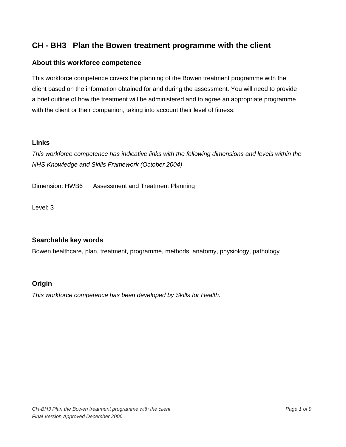#### **About this workforce competence**

This workforce competence covers the planning of the Bowen treatment programme with the client based on the information obtained for and during the assessment. You will need to provide a brief outline of how the treatment will be administered and to agree an appropriate programme with the client or their companion, taking into account their level of fitness.

#### **Links**

*This workforce competence has indicative links with the following dimensions and levels within the NHS Knowledge and Skills Framework (October 2004)* 

Dimension: HWB6 Assessment and Treatment Planning

Level: 3

### **Searchable key words**

Bowen healthcare, plan, treatment, programme, methods, anatomy, physiology, pathology

### **Origin**

*This workforce competence has been developed by Skills for Health.*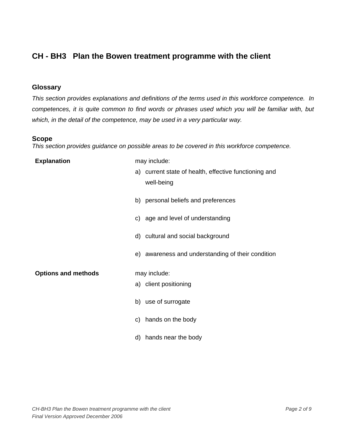#### **Glossary**

*This section provides explanations and definitions of the terms used in this workforce competence. In competences, it is quite common to find words or phrases used which you will be familiar with, but which, in the detail of the competence, may be used in a very particular way.* 

#### **Scope**

*This section provides guidance on possible areas to be covered in this workforce competence.* 

| <b>Explanation</b>         | may include:                                          |
|----------------------------|-------------------------------------------------------|
|                            | a) current state of health, effective functioning and |
|                            | well-being                                            |
|                            | b) personal beliefs and preferences                   |
|                            | c) age and level of understanding                     |
|                            | d) cultural and social background                     |
|                            | e) awareness and understanding of their condition     |
| <b>Options and methods</b> | may include:                                          |
|                            | a) client positioning                                 |
|                            | b) use of surrogate                                   |
|                            | c) hands on the body                                  |
|                            | hands near the body<br>d)                             |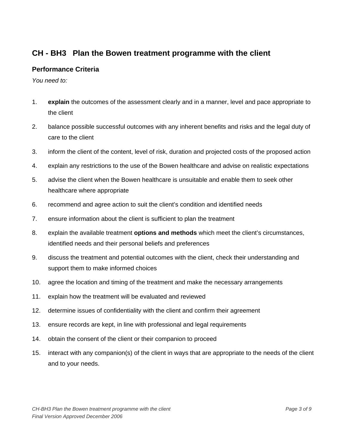## **Performance Criteria**

*You need to:* 

- 1. **explain** the outcomes of the assessment clearly and in a manner, level and pace appropriate to the client
- 2. balance possible successful outcomes with any inherent benefits and risks and the legal duty of care to the client
- 3. inform the client of the content, level of risk, duration and projected costs of the proposed action
- 4. explain any restrictions to the use of the Bowen healthcare and advise on realistic expectations
- 5. advise the client when the Bowen healthcare is unsuitable and enable them to seek other healthcare where appropriate
- 6. recommend and agree action to suit the client's condition and identified needs
- 7. ensure information about the client is sufficient to plan the treatment
- 8. explain the available treatment **options and methods** which meet the client's circumstances, identified needs and their personal beliefs and preferences
- 9. discuss the treatment and potential outcomes with the client, check their understanding and support them to make informed choices
- 10. agree the location and timing of the treatment and make the necessary arrangements
- 11. explain how the treatment will be evaluated and reviewed
- 12. determine issues of confidentiality with the client and confirm their agreement
- 13. ensure records are kept, in line with professional and legal requirements
- 14. obtain the consent of the client or their companion to proceed
- 15. interact with any companion(s) of the client in ways that are appropriate to the needs of the client and to your needs.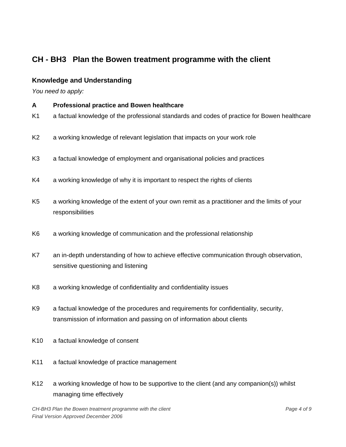## **Knowledge and Understanding**

*You need to apply:* 

- **A Professional practice and Bowen healthcare**
- K1 a factual knowledge of the professional standards and codes of practice for Bowen healthcare
- K2 a working knowledge of relevant legislation that impacts on your work role
- K3 a factual knowledge of employment and organisational policies and practices
- K4 a working knowledge of why it is important to respect the rights of clients
- K5 a working knowledge of the extent of your own remit as a practitioner and the limits of your responsibilities
- K6 a working knowledge of communication and the professional relationship
- K7 an in-depth understanding of how to achieve effective communication through observation, sensitive questioning and listening
- K8 a working knowledge of confidentiality and confidentiality issues
- K9 a factual knowledge of the procedures and requirements for confidentiality, security, transmission of information and passing on of information about clients
- K10 a factual knowledge of consent
- K11 a factual knowledge of practice management
- K12 a working knowledge of how to be supportive to the client (and any companion(s)) whilst managing time effectively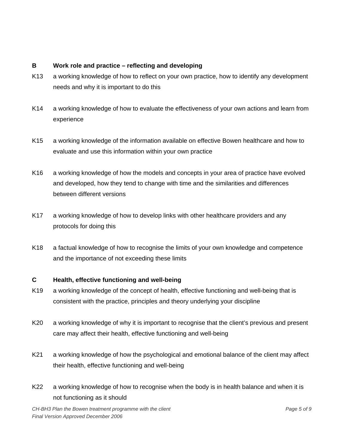#### **B Work role and practice – reflecting and developing**

- K13 a working knowledge of how to reflect on your own practice, how to identify any development needs and why it is important to do this
- K14 a working knowledge of how to evaluate the effectiveness of your own actions and learn from experience
- K15 a working knowledge of the information available on effective Bowen healthcare and how to evaluate and use this information within your own practice
- K16 a working knowledge of how the models and concepts in your area of practice have evolved and developed, how they tend to change with time and the similarities and differences between different versions
- K17 a working knowledge of how to develop links with other healthcare providers and any protocols for doing this
- K18 a factual knowledge of how to recognise the limits of your own knowledge and competence and the importance of not exceeding these limits

## **C Health, effective functioning and well-being**

- K19 a working knowledge of the concept of health, effective functioning and well-being that is consistent with the practice, principles and theory underlying your discipline
- K20 a working knowledge of why it is important to recognise that the client's previous and present care may affect their health, effective functioning and well-being
- K21 a working knowledge of how the psychological and emotional balance of the client may affect their health, effective functioning and well-being
- K22 a working knowledge of how to recognise when the body is in health balance and when it is not functioning as it should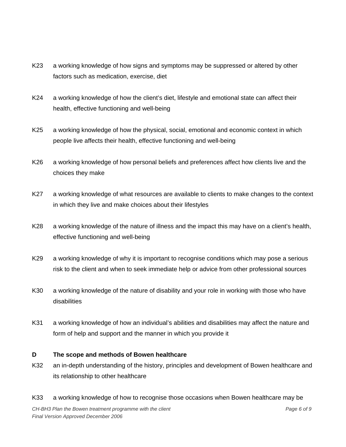- K23 a working knowledge of how signs and symptoms may be suppressed or altered by other factors such as medication, exercise, diet
- K24 a working knowledge of how the client's diet, lifestyle and emotional state can affect their health, effective functioning and well-being
- K25 a working knowledge of how the physical, social, emotional and economic context in which people live affects their health, effective functioning and well-being
- K26 a working knowledge of how personal beliefs and preferences affect how clients live and the choices they make
- K27 a working knowledge of what resources are available to clients to make changes to the context in which they live and make choices about their lifestyles
- K28 a working knowledge of the nature of illness and the impact this may have on a client's health, effective functioning and well-being
- K29 a working knowledge of why it is important to recognise conditions which may pose a serious risk to the client and when to seek immediate help or advice from other professional sources
- K30 a working knowledge of the nature of disability and your role in working with those who have disabilities
- K31 a working knowledge of how an individual's abilities and disabilities may affect the nature and form of help and support and the manner in which you provide it

#### **D The scope and methods of Bowen healthcare**

- K32 an in-depth understanding of the history, principles and development of Bowen healthcare and its relationship to other healthcare
- K33 a working knowledge of how to recognise those occasions when Bowen healthcare may be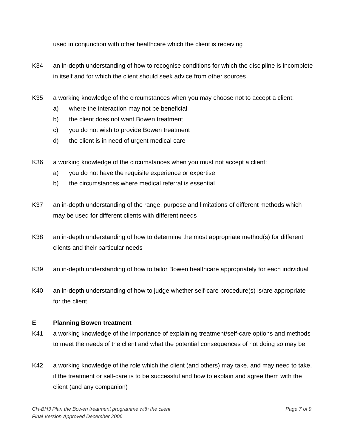used in conjunction with other healthcare which the client is receiving

- K34 an in-depth understanding of how to recognise conditions for which the discipline is incomplete in itself and for which the client should seek advice from other sources
- K35 a working knowledge of the circumstances when you may choose not to accept a client:
	- a) where the interaction may not be beneficial
	- b) the client does not want Bowen treatment
	- c) you do not wish to provide Bowen treatment
	- d) the client is in need of urgent medical care
- K36 a working knowledge of the circumstances when you must not accept a client:
	- a) you do not have the requisite experience or expertise
	- b) the circumstances where medical referral is essential
- K37 an in-depth understanding of the range, purpose and limitations of different methods which may be used for different clients with different needs
- K38 an in-depth understanding of how to determine the most appropriate method(s) for different clients and their particular needs
- K39 an in-depth understanding of how to tailor Bowen healthcare appropriately for each individual
- K40 an in-depth understanding of how to judge whether self-care procedure(s) is/are appropriate for the client

#### **E Planning Bowen treatment**

- K41 a working knowledge of the importance of explaining treatment/self-care options and methods to meet the needs of the client and what the potential consequences of not doing so may be
- K42 a working knowledge of the role which the client (and others) may take, and may need to take, if the treatment or self-care is to be successful and how to explain and agree them with the client (and any companion)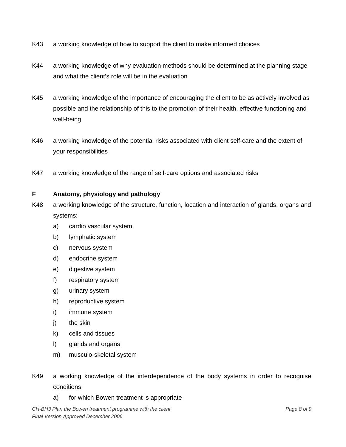- K43 a working knowledge of how to support the client to make informed choices
- K44 a working knowledge of why evaluation methods should be determined at the planning stage and what the client's role will be in the evaluation
- K45 a working knowledge of the importance of encouraging the client to be as actively involved as possible and the relationship of this to the promotion of their health, effective functioning and well-being
- K46 a working knowledge of the potential risks associated with client self-care and the extent of your responsibilities
- K47 a working knowledge of the range of self-care options and associated risks

#### **F Anatomy, physiology and pathology**

- K48 a working knowledge of the structure, function, location and interaction of glands, organs and systems:
	- a) cardio vascular system
	- b) lymphatic system
	- c) nervous system
	- d) endocrine system
	- e) digestive system
	- f) respiratory system
	- g) urinary system
	- h) reproductive system
	- i) immune system
	- i) the skin
	- k) cells and tissues
	- l) glands and organs
	- m) musculo-skeletal system
- K49 a working knowledge of the interdependence of the body systems in order to recognise conditions:
	- a) for which Bowen treatment is appropriate